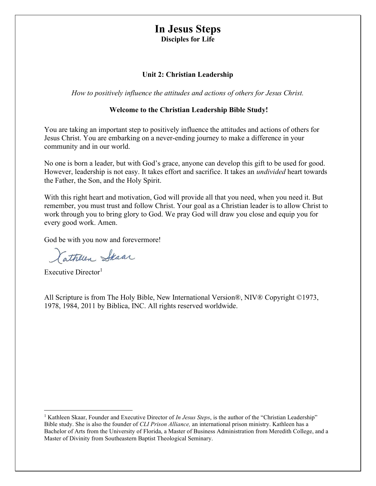# In Jesus Steps

Disciples for Life

## Unit 2: Christian Leadership

How to positively influence the attitudes and actions of others for Jesus Christ.

## Welcome to the Christian Leadership Bible Study!

You are taking an important step to positively influence the attitudes and actions of others for Jesus Christ. You are embarking on a never-ending journey to make a difference in your community and in our world.

No one is born a leader, but with God's grace, anyone can develop this gift to be used for good. However, leadership is not easy. It takes effort and sacrifice. It takes an undivided heart towards the Father, the Son, and the Holy Spirit.

With this right heart and motivation, God will provide all that you need, when you need it. But remember, you must trust and follow Christ. Your goal as a Christian leader is to allow Christ to work through you to bring glory to God. We pray God will draw you close and equip you for every good work. Amen.

God be with you now and forevermore!

Cathleen Steaar

Executive Director<sup>1</sup>

All Scripture is from The Holy Bible, New International Version®, NIV® Copyright ©1973, 1978, 1984, 2011 by Biblica, INC. All rights reserved worldwide.

<sup>&</sup>lt;sup>1</sup> Kathleen Skaar, Founder and Executive Director of In Jesus Steps, is the author of the "Christian Leadership" Bible study. She is also the founder of CLI Prison Alliance, an international prison ministry. Kathleen has a Bachelor of Arts from the University of Florida, a Master of Business Administration from Meredith College, and a Master of Divinity from Southeastern Baptist Theological Seminary.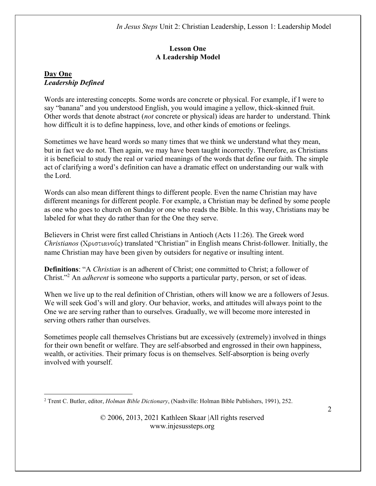# Lesson One A Leadership Model

# Day One Leadership Defined

Words are interesting concepts. Some words are concrete or physical. For example, if I were to say "banana" and you understood English, you would imagine a yellow, thick-skinned fruit. Other words that denote abstract (not concrete or physical) ideas are harder to understand. Think how difficult it is to define happiness, love, and other kinds of emotions or feelings.

Sometimes we have heard words so many times that we think we understand what they mean, but in fact we do not. Then again, we may have been taught incorrectly. Therefore, as Christians it is beneficial to study the real or varied meanings of the words that define our faith. The simple act of clarifying a word's definition can have a dramatic effect on understanding our walk with the Lord.

Words can also mean different things to different people. Even the name Christian may have different meanings for different people. For example, a Christian may be defined by some people as one who goes to church on Sunday or one who reads the Bible. In this way, Christians may be labeled for what they do rather than for the One they serve.

Believers in Christ were first called Christians in Antioch (Acts 11:26). The Greek word  $Christianos$  ( $Xp$ ιστιανούς) translated "Christian" in English means Christ-follower. Initially, the name Christian may have been given by outsiders for negative or insulting intent.

Definitions: "A Christian is an adherent of Christ; one committed to Christ; a follower of Christ."<sup>2</sup> An *adherent* is someone who supports a particular party, person, or set of ideas.

When we live up to the real definition of Christian, others will know we are a followers of Jesus. We will seek God's will and glory. Our behavior, works, and attitudes will always point to the One we are serving rather than to ourselves. Gradually, we will become more interested in serving others rather than ourselves.

Sometimes people call themselves Christians but are excessively (extremely) involved in things for their own benefit or welfare. They are self-absorbed and engrossed in their own happiness, wealth, or activities. Their primary focus is on themselves. Self-absorption is being overly involved with yourself.

<sup>&</sup>lt;sup>2</sup> Trent C. Butler, editor, *Holman Bible Dictionary*, (Nashville: Holman Bible Publishers, 1991), 252.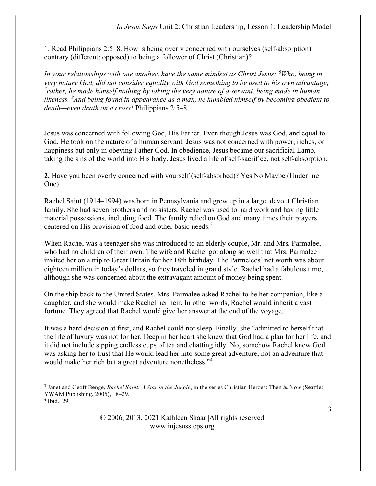1. Read Philippians 2:5–8. How is being overly concerned with ourselves (self-absorption) contrary (different; opposed) to being a follower of Christ (Christian)?

In your relationships with one another, have the same mindset as Christ Jesus:  $\delta$ Who, being in very nature God, did not consider equality with God something to be used to his own advantage;  $^{7}$ rather, he made himself nothing by taking the very nature of a servant, being made in human likeness.  ${}^{8}$ And being found in appearance as a man, he humbled himself by becoming obedient to death—even death on a cross! Philippians 2:5–8

Jesus was concerned with following God, His Father. Even though Jesus was God, and equal to God, He took on the nature of a human servant. Jesus was not concerned with power, riches, or happiness but only in obeying Father God. In obedience, Jesus became our sacrificial Lamb, taking the sins of the world into His body. Jesus lived a life of self-sacrifice, not self-absorption.

2. Have you been overly concerned with yourself (self-absorbed)? Yes No Maybe (Underline One)

Rachel Saint (1914–1994) was born in Pennsylvania and grew up in a large, devout Christian family. She had seven brothers and no sisters. Rachel was used to hard work and having little material possessions, including food. The family relied on God and many times their prayers centered on His provision of food and other basic needs.<sup>3</sup>

When Rachel was a teenager she was introduced to an elderly couple, Mr. and Mrs. Parmalee, who had no children of their own. The wife and Rachel got along so well that Mrs. Parmalee invited her on a trip to Great Britain for her 18th birthday. The Parmelees' net worth was about eighteen million in today's dollars, so they traveled in grand style. Rachel had a fabulous time, although she was concerned about the extravagant amount of money being spent.

On the ship back to the United States, Mrs. Parmalee asked Rachel to be her companion, like a daughter, and she would make Rachel her heir. In other words, Rachel would inherit a vast fortune. They agreed that Rachel would give her answer at the end of the voyage.

It was a hard decision at first, and Rachel could not sleep. Finally, she "admitted to herself that the life of luxury was not for her. Deep in her heart she knew that God had a plan for her life, and it did not include sipping endless cups of tea and chatting idly. No, somehow Rachel knew God was asking her to trust that He would lead her into some great adventure, not an adventure that would make her rich but a great adventure nonetheless."<sup>4</sup>

<sup>&</sup>lt;sup>3</sup> Janet and Geoff Benge, Rachel Saint: A Star in the Jungle, in the series Christian Heroes: Then & Now (Seattle: YWAM Publishing, 2005), 18–29.

<sup>4</sup> Ibid., 29.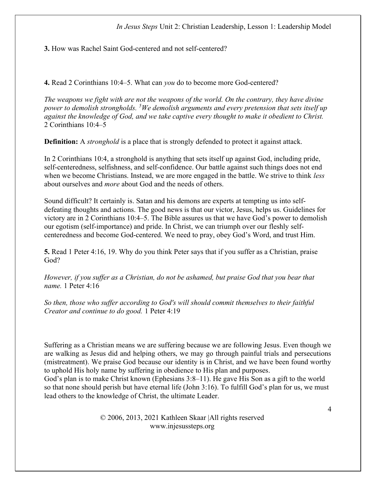3. How was Rachel Saint God-centered and not self-centered?

4. Read 2 Corinthians 10:4–5. What can you do to become more God-centered?

The weapons we fight with are not the weapons of the world. On the contrary, they have divine power to demolish strongholds. <sup>5</sup>We demolish arguments and every pretension that sets itself up against the knowledge of God, and we take captive every thought to make it obedient to Christ. 2 Corinthians 10:4–5

**Definition:** A *stronghold* is a place that is strongly defended to protect it against attack.

In 2 Corinthians 10:4, a stronghold is anything that sets itself up against God, including pride, self-centeredness, selfishness, and self-confidence. Our battle against such things does not end when we become Christians. Instead, we are more engaged in the battle. We strive to think *less* about ourselves and more about God and the needs of others.

Sound difficult? It certainly is. Satan and his demons are experts at tempting us into selfdefeating thoughts and actions. The good news is that our victor, Jesus, helps us. Guidelines for victory are in 2 Corinthians 10:4–5. The Bible assures us that we have God's power to demolish our egotism (self-importance) and pride. In Christ, we can triumph over our fleshly selfcenteredness and become God-centered. We need to pray, obey God's Word, and trust Him.

5. Read 1 Peter 4:16, 19. Why do you think Peter says that if you suffer as a Christian, praise God?

However, if you suffer as a Christian, do not be ashamed, but praise God that you bear that name. 1 Peter 4:16

So then, those who suffer according to God's will should commit themselves to their faithful Creator and continue to do good. 1 Peter 4:19

Suffering as a Christian means we are suffering because we are following Jesus. Even though we are walking as Jesus did and helping others, we may go through painful trials and persecutions (mistreatment). We praise God because our identity is in Christ, and we have been found worthy to uphold His holy name by suffering in obedience to His plan and purposes.

God's plan is to make Christ known (Ephesians 3:8–11). He gave His Son as a gift to the world so that none should perish but have eternal life (John 3:16). To fulfill God's plan for us, we must lead others to the knowledge of Christ, the ultimate Leader.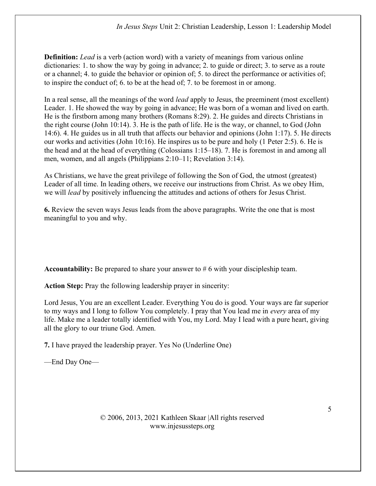**Definition:** Lead is a verb (action word) with a variety of meanings from various online dictionaries: 1. to show the way by going in advance; 2. to guide or direct; 3. to serve as a route or a channel; 4. to guide the behavior or opinion of; 5. to direct the performance or activities of; to inspire the conduct of; 6. to be at the head of; 7. to be foremost in or among.

In a real sense, all the meanings of the word lead apply to Jesus, the preeminent (most excellent) Leader. 1. He showed the way by going in advance; He was born of a woman and lived on earth. He is the firstborn among many brothers (Romans 8:29). 2. He guides and directs Christians in the right course (John 10:14). 3. He is the path of life. He is the way, or channel, to God (John 14:6). 4. He guides us in all truth that affects our behavior and opinions (John 1:17). 5. He directs our works and activities (John 10:16). He inspires us to be pure and holy (1 Peter 2:5). 6. He is the head and at the head of everything (Colossians 1:15–18). 7. He is foremost in and among all men, women, and all angels (Philippians 2:10–11; Revelation 3:14).

As Christians, we have the great privilege of following the Son of God, the utmost (greatest) Leader of all time. In leading others, we receive our instructions from Christ. As we obey Him, we will lead by positively influencing the attitudes and actions of others for Jesus Christ.

6. Review the seven ways Jesus leads from the above paragraphs. Write the one that is most meaningful to you and why.

Accountability: Be prepared to share your answer to # 6 with your discipleship team.

Action Step: Pray the following leadership prayer in sincerity:

Lord Jesus, You are an excellent Leader. Everything You do is good. Your ways are far superior to my ways and I long to follow You completely. I pray that You lead me in every area of my life. Make me a leader totally identified with You, my Lord. May I lead with a pure heart, giving all the glory to our triune God. Amen.

7. I have prayed the leadership prayer. Yes No (Underline One)

—End Day One—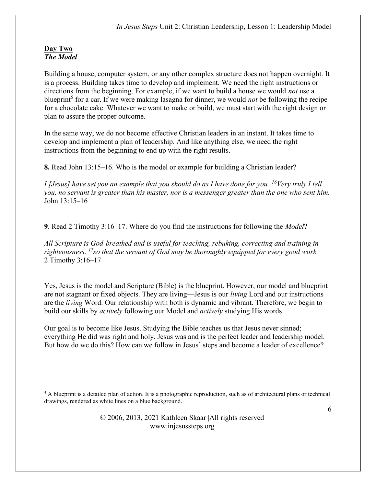## Day Two The Model

Building a house, computer system, or any other complex structure does not happen overnight. It is a process. Building takes time to develop and implement. We need the right instructions or directions from the beginning. For example, if we want to build a house we would *not* use a blueprint<sup>5</sup> for a car. If we were making lasagna for dinner, we would *not* be following the recipe for a chocolate cake. Whatever we want to make or build, we must start with the right design or plan to assure the proper outcome.

In the same way, we do not become effective Christian leaders in an instant. It takes time to develop and implement a plan of leadership. And like anything else, we need the right instructions from the beginning to end up with the right results.

8. Read John 13:15–16. Who is the model or example for building a Christian leader?

I [Jesus] have set you an example that you should do as I have done for you.  $^{16}$ Very truly I tell you, no servant is greater than his master, nor is a messenger greater than the one who sent him. John 13:15–16

9. Read 2 Timothy 3:16–17. Where do you find the instructions for following the Model?

All Scripture is God-breathed and is useful for teaching, rebuking, correcting and training in righteousness,  $^{17}$ so that the servant of God may be thoroughly equipped for every good work. 2 Timothy 3:16–17

Yes, Jesus is the model and Scripture (Bible) is the blueprint. However, our model and blueprint are not stagnant or fixed objects. They are living—Jesus is our living Lord and our instructions are the living Word. Our relationship with both is dynamic and vibrant. Therefore, we begin to build our skills by *actively* following our Model and *actively* studying His words.

Our goal is to become like Jesus. Studying the Bible teaches us that Jesus never sinned; everything He did was right and holy. Jesus was and is the perfect leader and leadership model. But how do we do this? How can we follow in Jesus' steps and become a leader of excellence?

<sup>&</sup>lt;sup>5</sup> A blueprint is a detailed plan of action. It is a photographic reproduction, such as of architectural plans or technical drawings, rendered as white lines on a blue background.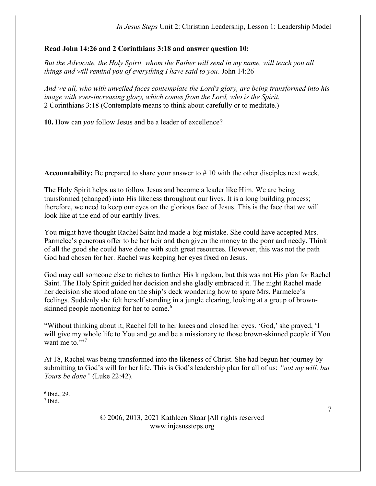## Read John 14:26 and 2 Corinthians 3:18 and answer question 10:

But the Advocate, the Holy Spirit, whom the Father will send in my name, will teach you all things and will remind you of everything I have said to you. John 14:26

And we all, who with unveiled faces contemplate the Lord's glory, are being transformed into his image with ever-increasing glory, which comes from the Lord, who is the Spirit. 2 Corinthians 3:18 (Contemplate means to think about carefully or to meditate.)

10. How can you follow Jesus and be a leader of excellence?

**Accountability:** Be prepared to share your answer to  $\# 10$  with the other disciples next week.

The Holy Spirit helps us to follow Jesus and become a leader like Him. We are being transformed (changed) into His likeness throughout our lives. It is a long building process; therefore, we need to keep our eyes on the glorious face of Jesus. This is the face that we will look like at the end of our earthly lives.

You might have thought Rachel Saint had made a big mistake. She could have accepted Mrs. Parmelee's generous offer to be her heir and then given the money to the poor and needy. Think of all the good she could have done with such great resources. However, this was not the path God had chosen for her. Rachel was keeping her eyes fixed on Jesus.

God may call someone else to riches to further His kingdom, but this was not His plan for Rachel Saint. The Holy Spirit guided her decision and she gladly embraced it. The night Rachel made her decision she stood alone on the ship's deck wondering how to spare Mrs. Parmelee's feelings. Suddenly she felt herself standing in a jungle clearing, looking at a group of brownskinned people motioning for her to come.<sup>6</sup>

"Without thinking about it, Rachel fell to her knees and closed her eyes. 'God,' she prayed, 'I will give my whole life to You and go and be a missionary to those brown-skinned people if You want me to $\cdots$ <sup>7</sup>

At 18, Rachel was being transformed into the likeness of Christ. She had begun her journey by submitting to God's will for her life. This is God's leadership plan for all of us: "not my will, but Yours be done" (Luke 22:42).

6 Ibid., 29.

 $<sup>7</sup>$  Ibid..</sup>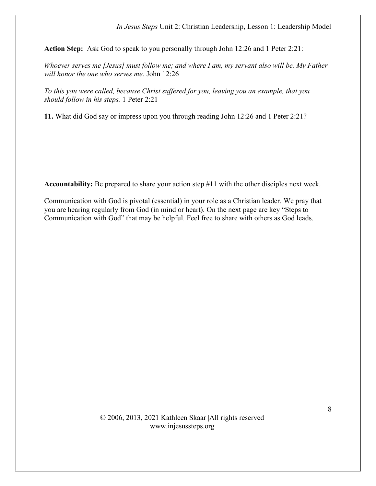Action Step: Ask God to speak to you personally through John 12:26 and 1 Peter 2:21:

Whoever serves me [Jesus] must follow me; and where I am, my servant also will be. My Father will honor the one who serves me. John 12:26

To this you were called, because Christ suffered for you, leaving you an example, that you should follow in his steps. 1 Peter 2:21

11. What did God say or impress upon you through reading John 12:26 and 1 Peter 2:21?

Accountability: Be prepared to share your action step #11 with the other disciples next week.

Communication with God is pivotal (essential) in your role as a Christian leader. We pray that you are hearing regularly from God (in mind or heart). On the next page are key "Steps to Communication with God" that may be helpful. Feel free to share with others as God leads.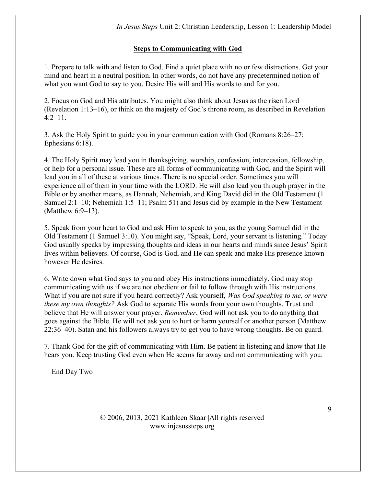# Steps to Communicating with God

1. Prepare to talk with and listen to God. Find a quiet place with no or few distractions. Get your mind and heart in a neutral position. In other words, do not have any predetermined notion of what you want God to say to you. Desire His will and His words to and for you.

2. Focus on God and His attributes. You might also think about Jesus as the risen Lord (Revelation 1:13–16), or think on the majesty of God's throne room, as described in Revelation 4:2–11.

3. Ask the Holy Spirit to guide you in your communication with God (Romans 8:26–27; Ephesians 6:18).

4. The Holy Spirit may lead you in thanksgiving, worship, confession, intercession, fellowship, or help for a personal issue. These are all forms of communicating with God, and the Spirit will lead you in all of these at various times. There is no special order. Sometimes you will experience all of them in your time with the LORD. He will also lead you through prayer in the Bible or by another means, as Hannah, Nehemiah, and King David did in the Old Testament (1 Samuel 2:1–10; Nehemiah 1:5–11; Psalm 51) and Jesus did by example in the New Testament (Matthew 6:9–13).

5. Speak from your heart to God and ask Him to speak to you, as the young Samuel did in the Old Testament (1 Samuel 3:10). You might say, "Speak, Lord, your servant is listening." Today God usually speaks by impressing thoughts and ideas in our hearts and minds since Jesus' Spirit lives within believers. Of course, God is God, and He can speak and make His presence known however He desires.

6. Write down what God says to you and obey His instructions immediately. God may stop communicating with us if we are not obedient or fail to follow through with His instructions. What if you are not sure if you heard correctly? Ask yourself, *Was God speaking to me, or were* these my own thoughts? Ask God to separate His words from your own thoughts. Trust and believe that He will answer your prayer. Remember, God will not ask you to do anything that goes against the Bible. He will not ask you to hurt or harm yourself or another person (Matthew 22:36–40). Satan and his followers always try to get you to have wrong thoughts. Be on guard.

7. Thank God for the gift of communicating with Him. Be patient in listening and know that He hears you. Keep trusting God even when He seems far away and not communicating with you.

—End Day Two—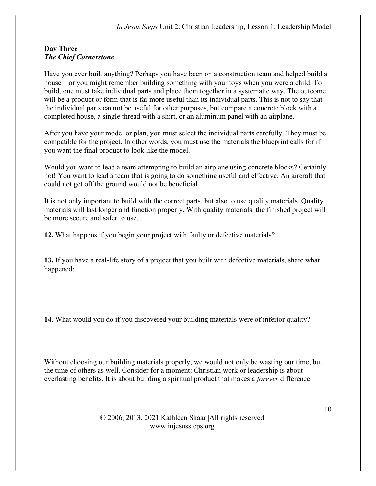## Day Three The Chief Cornerstone

Have you ever built anything? Perhaps you have been on a construction team and helped build a house—or you might remember building something with your toys when you were a child. To build, one must take individual parts and place them together in a systematic way. The outcome will be a product or form that is far more useful than its individual parts. This is not to say that the individual parts cannot be useful for other purposes, but compare a concrete block with a completed house, a single thread with a shirt, or an aluminum panel with an airplane.

After you have your model or plan, you must select the individual parts carefully. They must be compatible for the project. In other words, you must use the materials the blueprint calls for if you want the final product to look like the model.

Would you want to lead a team attempting to build an airplane using concrete blocks? Certainly not! You want to lead a team that is going to do something useful and effective. An aircraft that could not get off the ground would not be beneficial

It is not only important to build with the correct parts, but also to use quality materials. Quality materials will last longer and function properly. With quality materials, the finished project will be more secure and safer to use.

12. What happens if you begin your project with faulty or defective materials?

13. If you have a real-life story of a project that you built with defective materials, share what happened:

14. What would you do if you discovered your building materials were of inferior quality?

Without choosing our building materials properly, we would not only be wasting our time, but the time of others as well. Consider for a moment: Christian work or leadership is about everlasting benefits. It is about building a spiritual product that makes a *forever* difference.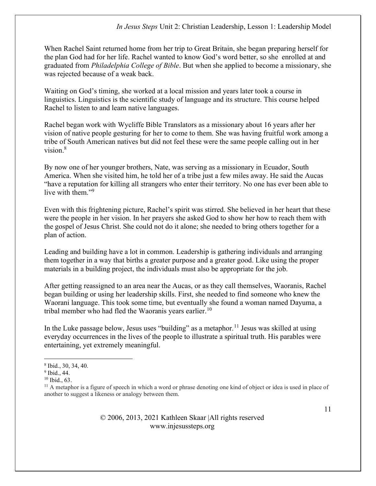When Rachel Saint returned home from her trip to Great Britain, she began preparing herself for the plan God had for her life. Rachel wanted to know God's word better, so she enrolled at and graduated from Philadelphia College of Bible. But when she applied to become a missionary, she was rejected because of a weak back.

Waiting on God's timing, she worked at a local mission and years later took a course in linguistics. Linguistics is the scientific study of language and its structure. This course helped Rachel to listen to and learn native languages.

Rachel began work with Wycliffe Bible Translators as a missionary about 16 years after her vision of native people gesturing for her to come to them. She was having fruitful work among a tribe of South American natives but did not feel these were the same people calling out in her vision.<sup>8</sup>

By now one of her younger brothers, Nate, was serving as a missionary in Ecuador, South America. When she visited him, he told her of a tribe just a few miles away. He said the Aucas "have a reputation for killing all strangers who enter their territory. No one has ever been able to live with them."<sup>9</sup>

Even with this frightening picture, Rachel's spirit was stirred. She believed in her heart that these were the people in her vision. In her prayers she asked God to show her how to reach them with the gospel of Jesus Christ. She could not do it alone; she needed to bring others together for a plan of action.

Leading and building have a lot in common. Leadership is gathering individuals and arranging them together in a way that births a greater purpose and a greater good. Like using the proper materials in a building project, the individuals must also be appropriate for the job.

After getting reassigned to an area near the Aucas, or as they call themselves, Waoranis, Rachel began building or using her leadership skills. First, she needed to find someone who knew the Waorani language. This took some time, but eventually she found a woman named Dayuma, a tribal member who had fled the Waoranis years earlier.<sup>10</sup>

In the Luke passage below, Jesus uses "building" as a metaphor.<sup>11</sup> Jesus was skilled at using everyday occurrences in the lives of the people to illustrate a spiritual truth. His parables were entertaining, yet extremely meaningful.

<sup>8</sup> Ibid., 30, 34, 40.

<sup>9</sup> Ibid., 44.

<sup>10</sup> Ibid., 63.

<sup>&</sup>lt;sup>11</sup> A metaphor is a figure of speech in which a word or phrase denoting one kind of object or idea is used in place of another to suggest a likeness or analogy between them.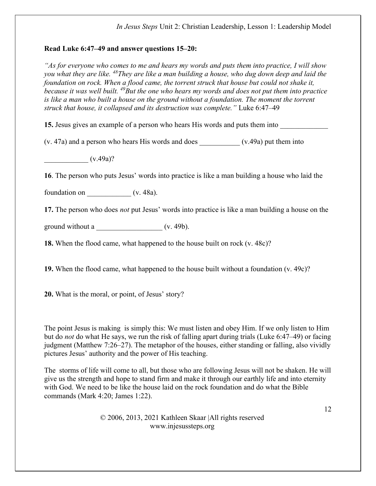## Read Luke 6:47–49 and answer questions 15–20:

"As for everyone who comes to me and hears my words and puts them into practice, I will show you what they are like.  $48$ They are like a man building a house, who dug down deep and laid the foundation on rock. When a flood came, the torrent struck that house but could not shake it, because it was well built.  $49B$ ut the one who hears my words and does not put them into practice is like a man who built a house on the ground without a foundation. The moment the torrent struck that house, it collapsed and its destruction was complete." Luke 6:47–49

15. Jesus gives an example of a person who hears His words and puts them into

 $(v. 47a)$  and a person who hears His words and does  $(v.49a)$  put them into

 $(v.49a)$ ?

16. The person who puts Jesus' words into practice is like a man building a house who laid the

foundation on  $($ v. 48a).

17. The person who does *not* put Jesus' words into practice is like a man building a house on the

ground without a  $\frac{\qquad (v. 49b)}{2}$ 

18. When the flood came, what happened to the house built on rock (v. 48c)?

19. When the flood came, what happened to the house built without a foundation  $(v. 49c)$ ?

20. What is the moral, or point, of Jesus' story?

The point Jesus is making is simply this: We must listen and obey Him. If we only listen to Him but do not do what He says, we run the risk of falling apart during trials (Luke 6:47–49) or facing judgment (Matthew 7:26–27). The metaphor of the houses, either standing or falling, also vividly pictures Jesus' authority and the power of His teaching.

The storms of life will come to all, but those who are following Jesus will not be shaken. He will give us the strength and hope to stand firm and make it through our earthly life and into eternity with God. We need to be like the house laid on the rock foundation and do what the Bible commands (Mark 4:20; James 1:22).

> © 2006, 2013, 2021 Kathleen Skaar |All rights reserved www.injesussteps.org

12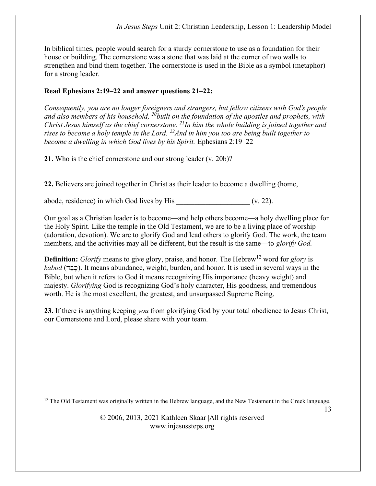In biblical times, people would search for a sturdy cornerstone to use as a foundation for their house or building. The cornerstone was a stone that was laid at the corner of two walls to strengthen and bind them together. The cornerstone is used in the Bible as a symbol (metaphor) for a strong leader.

# Read Ephesians 2:19–22 and answer questions 21–22:

Consequently, you are no longer foreigners and strangers, but fellow citizens with God's people and also members of his household,  $^{20}$ built on the foundation of the apostles and prophets, with Christ Jesus himself as the chief cornerstone.  $^{21}$ In him the whole building is joined together and rises to become a holy temple in the Lord. <sup>22</sup> And in him you too are being built together to become a dwelling in which God lives by his Spirit. Ephesians 2:19–22

21. Who is the chief cornerstone and our strong leader (v. 20b)?

22. Believers are joined together in Christ as their leader to become a dwelling (home,

abode, residence) in which God lives by His  $(v. 22)$ .

Our goal as a Christian leader is to become—and help others become—a holy dwelling place for the Holy Spirit. Like the temple in the Old Testament, we are to be a living place of worship (adoration, devotion). We are to glorify God and lead others to glorify God. The work, the team members, and the activities may all be different, but the result is the same—to glorify God.

**Definition:** Glorify means to give glory, praise, and honor. The Hebrew<sup>12</sup> word for *glory* is  $kabod$  (כבר). It means abundance, weight, burden, and honor. It is used in several ways in the Bible, but when it refers to God it means recognizing His importance (heavy weight) and majesty. Glorifying God is recognizing God's holy character, His goodness, and tremendous worth. He is the most excellent, the greatest, and unsurpassed Supreme Being.

23. If there is anything keeping *you* from glorifying God by your total obedience to Jesus Christ, our Cornerstone and Lord, please share with your team.

 $12$  The Old Testament was originally written in the Hebrew language, and the New Testament in the Greek language.

13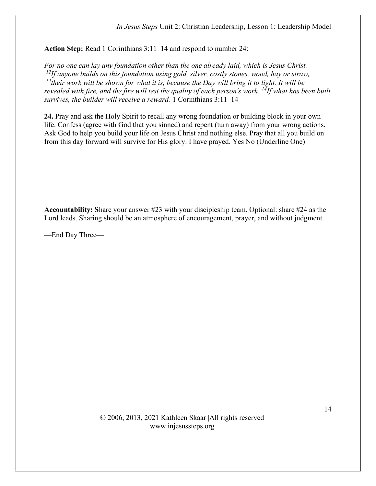Action Step: Read 1 Corinthians 3:11–14 and respond to number 24:

For no one can lay any foundation other than the one already laid, which is Jesus Christ.  $^{12}$ If anyone builds on this foundation using gold, silver, costly stones, wood, hay or straw,  $13$ their work will be shown for what it is, because the Day will bring it to light. It will be revealed with fire, and the fire will test the quality of each person's work. <sup>14</sup>If what has been built survives, the builder will receive a reward. 1 Corinthians 3:11–14

24. Pray and ask the Holy Spirit to recall any wrong foundation or building block in your own life. Confess (agree with God that you sinned) and repent (turn away) from your wrong actions. Ask God to help you build your life on Jesus Christ and nothing else. Pray that all you build on from this day forward will survive for His glory. I have prayed. Yes No (Underline One)

Accountability: Share your answer #23 with your discipleship team. Optional: share #24 as the Lord leads. Sharing should be an atmosphere of encouragement, prayer, and without judgment.

—End Day Three—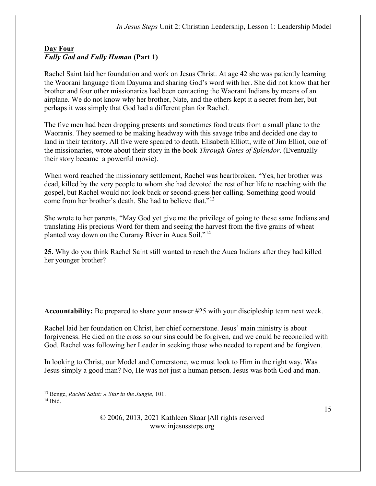# Day Four Fully God and Fully Human (Part 1)

Rachel Saint laid her foundation and work on Jesus Christ. At age 42 she was patiently learning the Waorani language from Dayuma and sharing God's word with her. She did not know that her brother and four other missionaries had been contacting the Waorani Indians by means of an airplane. We do not know why her brother, Nate, and the others kept it a secret from her, but perhaps it was simply that God had a different plan for Rachel.

The five men had been dropping presents and sometimes food treats from a small plane to the Waoranis. They seemed to be making headway with this savage tribe and decided one day to land in their territory. All five were speared to death. Elisabeth Elliott, wife of Jim Elliot, one of the missionaries, wrote about their story in the book Through Gates of Splendor. (Eventually their story became a powerful movie).

When word reached the missionary settlement, Rachel was heartbroken. "Yes, her brother was dead, killed by the very people to whom she had devoted the rest of her life to reaching with the gospel, but Rachel would not look back or second-guess her calling. Something good would come from her brother's death. She had to believe that."<sup>13</sup>

She wrote to her parents, "May God yet give me the privilege of going to these same Indians and translating His precious Word for them and seeing the harvest from the five grains of wheat planted way down on the Curaray River in Auca Soil."<sup>14</sup>

25. Why do you think Rachel Saint still wanted to reach the Auca Indians after they had killed her younger brother?

Accountability: Be prepared to share your answer #25 with your discipleship team next week.

Rachel laid her foundation on Christ, her chief cornerstone. Jesus' main ministry is about forgiveness. He died on the cross so our sins could be forgiven, and we could be reconciled with God. Rachel was following her Leader in seeking those who needed to repent and be forgiven.

In looking to Christ, our Model and Cornerstone, we must look to Him in the right way. Was Jesus simply a good man? No, He was not just a human person. Jesus was both God and man.

<sup>&</sup>lt;sup>13</sup> Benge, Rachel Saint: A Star in the Jungle, 101.

 $14$  Ibid.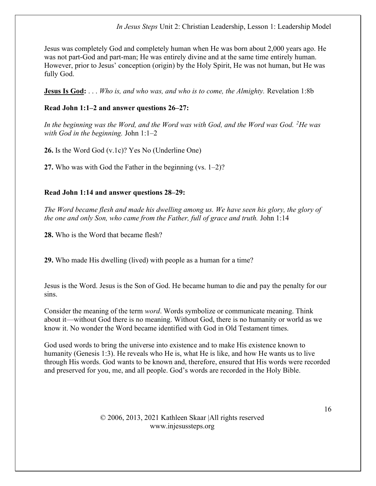Jesus was completely God and completely human when He was born about 2,000 years ago. He was not part-God and part-man; He was entirely divine and at the same time entirely human. However, prior to Jesus' conception (origin) by the Holy Spirit, He was not human, but He was fully God.

**Jesus Is God:** ... Who is, and who was, and who is to come, the Almighty. Revelation 1:8b

# Read John 1:1–2 and answer questions 26–27:

In the beginning was the Word, and the Word was with God, and the Word was God.  ${}^{2}$ He was with God in the beginning. John  $1:1-2$ 

26. Is the Word God (v.1c)? Yes No (Underline One)

27. Who was with God the Father in the beginning (vs. 1–2)?

## Read John 1:14 and answer questions 28–29:

The Word became flesh and made his dwelling among us. We have seen his glory, the glory of the one and only Son, who came from the Father, full of grace and truth. John 1:14

28. Who is the Word that became flesh?

29. Who made His dwelling (lived) with people as a human for a time?

Jesus is the Word. Jesus is the Son of God. He became human to die and pay the penalty for our sins.

Consider the meaning of the term word. Words symbolize or communicate meaning. Think about it—without God there is no meaning. Without God, there is no humanity or world as we know it. No wonder the Word became identified with God in Old Testament times.

God used words to bring the universe into existence and to make His existence known to humanity (Genesis 1:3). He reveals who He is, what He is like, and how He wants us to live through His words. God wants to be known and, therefore, ensured that His words were recorded and preserved for you, me, and all people. God's words are recorded in the Holy Bible.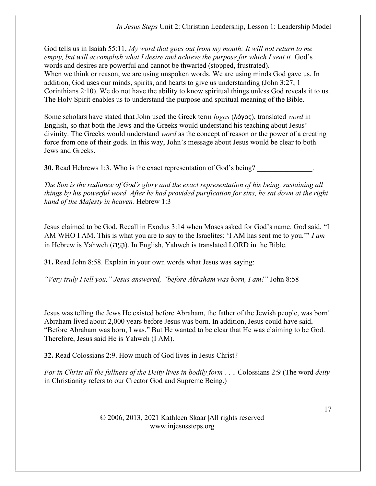God tells us in Isaiah 55:11, My word that goes out from my mouth: It will not return to me empty, but will accomplish what I desire and achieve the purpose for which I sent it. God's words and desires are powerful and cannot be thwarted (stopped, frustrated). When we think or reason, we are using unspoken words. We are using minds God gave us. In addition, God uses our minds, spirits, and hearts to give us understanding (John 3:27; 1 Corinthians 2:10). We do not have the ability to know spiritual things unless God reveals it to us. The Holy Spirit enables us to understand the purpose and spiritual meaning of the Bible.

Some scholars have stated that John used the Greek term logos (λόγος), translated word in English, so that both the Jews and the Greeks would understand his teaching about Jesus' divinity. The Greeks would understand *word* as the concept of reason or the power of a creating force from one of their gods. In this way, John's message about Jesus would be clear to both Jews and Greeks.

**30.** Read Hebrews 1:3. Who is the exact representation of God's being?

The Son is the radiance of God's glory and the exact representation of his being, sustaining all things by his powerful word. After he had provided purification for sins, he sat down at the right hand of the Majesty in heaven. Hebrew 1:3

Jesus claimed to be God. Recall in Exodus 3:14 when Moses asked for God's name. God said, "I AM WHO I AM. This is what you are to say to the Israelites: 'I AM has sent me to you.'" I am in Hebrew is Yahweh (היה). In English, Yahweh is translated LORD in the Bible.

31. Read John 8:58. Explain in your own words what Jesus was saying:

"Very truly I tell you," Jesus answered, "before Abraham was born, I am!" John 8:58

Jesus was telling the Jews He existed before Abraham, the father of the Jewish people, was born! Abraham lived about 2,000 years before Jesus was born. In addition, Jesus could have said, "Before Abraham was born, I was." But He wanted to be clear that He was claiming to be God. Therefore, Jesus said He is Yahweh (I AM).

32. Read Colossians 2:9. How much of God lives in Jesus Christ?

For in Christ all the fullness of the Deity lives in bodily form . . . Colossians 2:9 (The word deity in Christianity refers to our Creator God and Supreme Being.)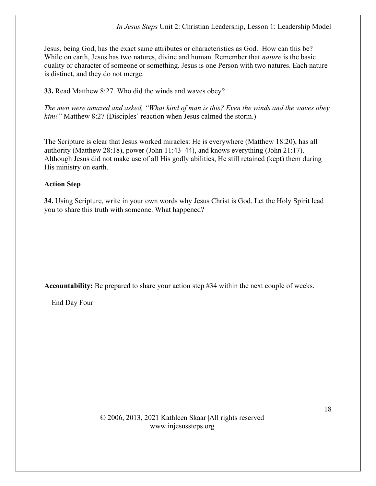Jesus, being God, has the exact same attributes or characteristics as God. How can this be? While on earth, Jesus has two natures, divine and human. Remember that *nature* is the basic quality or character of someone or something. Jesus is one Person with two natures. Each nature is distinct, and they do not merge.

33. Read Matthew 8:27. Who did the winds and waves obey?

The men were amazed and asked, "What kind of man is this? Even the winds and the waves obey him!" Matthew 8:27 (Disciples' reaction when Jesus calmed the storm.)

The Scripture is clear that Jesus worked miracles: He is everywhere (Matthew 18:20), has all authority (Matthew 28:18), power (John 11:43–44), and knows everything (John 21:17). Although Jesus did not make use of all His godly abilities, He still retained (kept) them during His ministry on earth.

## Action Step

34. Using Scripture, write in your own words why Jesus Christ is God. Let the Holy Spirit lead you to share this truth with someone. What happened?

Accountability: Be prepared to share your action step #34 within the next couple of weeks.

—End Day Four—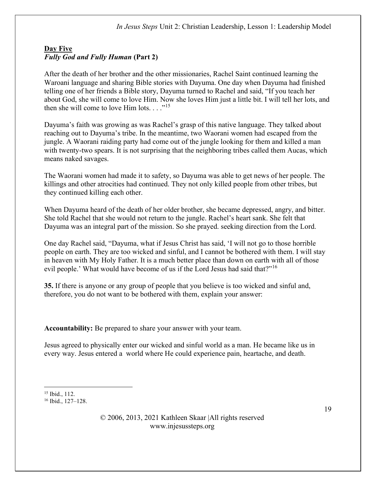# Day Five Fully God and Fully Human (Part 2)

After the death of her brother and the other missionaries, Rachel Saint continued learning the Waroani language and sharing Bible stories with Dayuma. One day when Dayuma had finished telling one of her friends a Bible story, Dayuma turned to Rachel and said, "If you teach her about God, she will come to love Him. Now she loves Him just a little bit. I will tell her lots, and then she will come to love Him lots.  $\dots$ <sup>15</sup>

Dayuma's faith was growing as was Rachel's grasp of this native language. They talked about reaching out to Dayuma's tribe. In the meantime, two Waorani women had escaped from the jungle. A Waorani raiding party had come out of the jungle looking for them and killed a man with twenty-two spears. It is not surprising that the neighboring tribes called them Aucas, which means naked savages.

The Waorani women had made it to safety, so Dayuma was able to get news of her people. The killings and other atrocities had continued. They not only killed people from other tribes, but they continued killing each other.

When Dayuma heard of the death of her older brother, she became depressed, angry, and bitter. She told Rachel that she would not return to the jungle. Rachel's heart sank. She felt that Dayuma was an integral part of the mission. So she prayed. seeking direction from the Lord.

One day Rachel said, "Dayuma, what if Jesus Christ has said, 'I will not go to those horrible people on earth. They are too wicked and sinful, and I cannot be bothered with them. I will stay in heaven with My Holy Father. It is a much better place than down on earth with all of those evil people.' What would have become of us if the Lord Jesus had said that?"<sup>16</sup>

35. If there is anyone or any group of people that you believe is too wicked and sinful and, therefore, you do not want to be bothered with them, explain your answer:

Accountability: Be prepared to share your answer with your team.

Jesus agreed to physically enter our wicked and sinful world as a man. He became like us in every way. Jesus entered a world where He could experience pain, heartache, and death.

<sup>15</sup> Ibid., 112.

<sup>16</sup> Ibid., 127–128.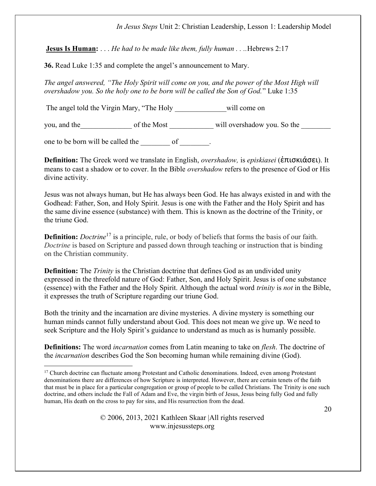**Jesus Is Human:** ... *He had to be made like them, fully human* ... *Hebrews* 2:17

36. Read Luke 1:35 and complete the angel's announcement to Mary.

The angel answered, "The Holy Spirit will come on you, and the power of the Most High will overshadow you. So the holy one to be born will be called the Son of God." Luke 1:35

The angel told the Virgin Mary, "The Holy will come on

you, and the set of the Most and the Most and the So the  $\sim$  and the set of the Most and will overshadow you. So the  $\sim$ 

one to be born will be called the of  $\qquad \qquad$ .

Definition: The Greek word we translate in English, overshadow, is episkiasei (ἐπισκιάσει). It means to cast a shadow or to cover. In the Bible overshadow refers to the presence of God or His divine activity.

Jesus was not always human, but He has always been God. He has always existed in and with the Godhead: Father, Son, and Holy Spirit. Jesus is one with the Father and the Holy Spirit and has the same divine essence (substance) with them. This is known as the doctrine of the Trinity, or the triune God.

**Definition:** *Doctrine*<sup>17</sup> is a principle, rule, or body of beliefs that forms the basis of our faith. Doctrine is based on Scripture and passed down through teaching or instruction that is binding on the Christian community.

**Definition:** The *Trinity* is the Christian doctrine that defines God as an undivided unity expressed in the threefold nature of God: Father, Son, and Holy Spirit. Jesus is of one substance (essence) with the Father and the Holy Spirit. Although the actual word trinity is not in the Bible, it expresses the truth of Scripture regarding our triune God.

Both the trinity and the incarnation are divine mysteries. A divine mystery is something our human minds cannot fully understand about God. This does not mean we give up. We need to seek Scripture and the Holy Spirit's guidance to understand as much as is humanly possible.

**Definitions:** The word *incarnation* comes from Latin meaning to take on *flesh*. The doctrine of the incarnation describes God the Son becoming human while remaining divine (God).

<sup>&</sup>lt;sup>17</sup> Church doctrine can fluctuate among Protestant and Catholic denominations. Indeed, even among Protestant denominations there are differences of how Scripture is interpreted. However, there are certain tenets of the faith that must be in place for a particular congregation or group of people to be called Christians. The Trinity is one such doctrine, and others include the Fall of Adam and Eve, the virgin birth of Jesus, Jesus being fully God and fully human, His death on the cross to pay for sins, and His resurrection from the dead.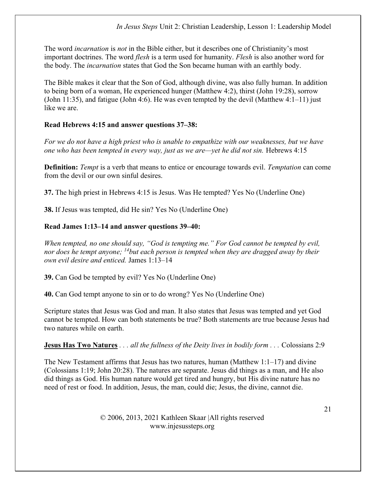The word *incarnation* is *not* in the Bible either, but it describes one of Christianity's most important doctrines. The word *flesh* is a term used for humanity. *Flesh* is also another word for the body. The incarnation states that God the Son became human with an earthly body.

The Bible makes it clear that the Son of God, although divine, was also fully human. In addition to being born of a woman, He experienced hunger (Matthew 4:2), thirst (John 19:28), sorrow (John 11:35), and fatigue (John 4:6). He was even tempted by the devil (Matthew 4:1–11) just like we are.

# Read Hebrews 4:15 and answer questions 37–38:

For we do not have a high priest who is unable to empathize with our weaknesses, but we have one who has been tempted in every way, just as we are—yet he did not sin. Hebrews 4:15

**Definition:** Tempt is a verb that means to entice or encourage towards evil. Temptation can come from the devil or our own sinful desires.

37. The high priest in Hebrews 4:15 is Jesus. Was He tempted? Yes No (Underline One)

38. If Jesus was tempted, did He sin? Yes No (Underline One)

# Read James 1:13–14 and answer questions 39–40:

When tempted, no one should say, "God is tempting me." For God cannot be tempted by evil, nor does he tempt anyone;  $14$  but each person is tempted when they are dragged away by their own evil desire and enticed. James 1:13–14

39. Can God be tempted by evil? Yes No (Underline One)

40. Can God tempt anyone to sin or to do wrong? Yes No (Underline One)

Scripture states that Jesus was God and man. It also states that Jesus was tempted and yet God cannot be tempted. How can both statements be true? Both statements are true because Jesus had two natures while on earth.

**Jesus Has Two Natures** . . . all the fullness of the Deity lives in bodily form . . . Colossians 2:9

The New Testament affirms that Jesus has two natures, human (Matthew 1:1–17) and divine (Colossians 1:19; John 20:28). The natures are separate. Jesus did things as a man, and He also did things as God. His human nature would get tired and hungry, but His divine nature has no need of rest or food. In addition, Jesus, the man, could die; Jesus, the divine, cannot die.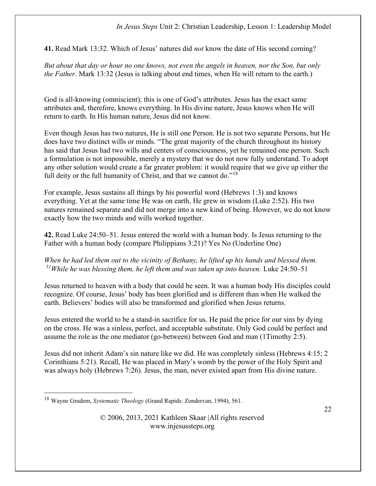41. Read Mark 13:32. Which of Jesus' natures did not know the date of His second coming?

But about that day or hour no one knows, not even the angels in heaven, nor the Son, but only the Father. Mark 13:32 (Jesus is talking about end times, when He will return to the earth.)

God is all-knowing (omniscient); this is one of God's attributes. Jesus has the exact same attributes and, therefore, knows everything. In His divine nature, Jesus knows when He will return to earth. In His human nature, Jesus did not know.

Even though Jesus has two natures, He is still one Person. He is not two separate Persons, but He does have two distinct wills or minds. "The great majority of the church throughout its history has said that Jesus had two wills and centers of consciousness, yet he remained one person. Such a formulation is not impossible, merely a mystery that we do not now fully understand. To adopt any other solution would create a far greater problem: it would require that we give up either the full deity or the full humanity of Christ, and that we cannot do."<sup>18</sup>

For example, Jesus sustains all things by his powerful word (Hebrews 1:3) and knows everything. Yet at the same time He was on earth, He grew in wisdom (Luke 2:52). His two natures remained separate and did not merge into a new kind of being. However, we do not know exactly how the two minds and wills worked together.

42. Read Luke 24:50–51. Jesus entered the world with a human body. Is Jesus returning to the Father with a human body (compare Philippians 3:21)? Yes No (Underline One)

When he had led them out to the vicinity of Bethany, he lifted up his hands and blessed them.  $51$ While he was blessing them, he left them and was taken up into heaven. Luke 24:50–51

Jesus returned to heaven with a body that could be seen. It was a human body His disciples could recognize. Of course, Jesus' body has been glorified and is different than when He walked the earth. Believers' bodies will also be transformed and glorified when Jesus returns.

Jesus entered the world to be a stand-in sacrifice for us. He paid the price for our sins by dying on the cross. He was a sinless, perfect, and acceptable substitute. Only God could be perfect and assume the role as the one mediator (go-between) between God and man (1Timothy 2:5).

Jesus did not inherit Adam's sin nature like we did. He was completely sinless (Hebrews 4:15; 2 Corinthians 5:21). Recall, He was placed in Mary's womb by the power of the Holy Spirit and was always holy (Hebrews 7:26). Jesus, the man, never existed apart from His divine nature.

 $18$  Wayne Grudem, *Systematic Theology* (Grand Rapids: Zondervan, 1994), 561.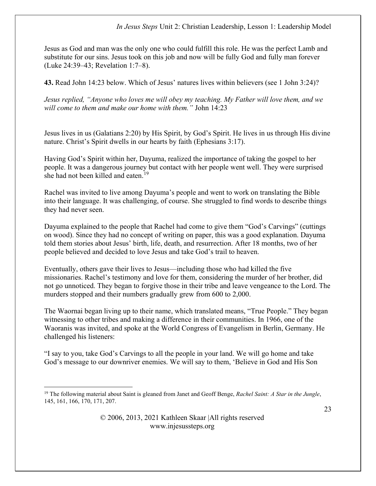Jesus as God and man was the only one who could fulfill this role. He was the perfect Lamb and substitute for our sins. Jesus took on this job and now will be fully God and fully man forever (Luke 24:39–43; Revelation 1:7–8).

43. Read John 14:23 below. Which of Jesus' natures lives within believers (see 1 John 3:24)?

Jesus replied, "Anyone who loves me will obey my teaching. My Father will love them, and we will come to them and make our home with them." John 14:23

Jesus lives in us (Galatians 2:20) by His Spirit, by God's Spirit. He lives in us through His divine nature. Christ's Spirit dwells in our hearts by faith (Ephesians 3:17).

Having God's Spirit within her, Dayuma, realized the importance of taking the gospel to her people. It was a dangerous journey but contact with her people went well. They were surprised she had not been killed and eaten.<sup>19</sup>

Rachel was invited to live among Dayuma's people and went to work on translating the Bible into their language. It was challenging, of course. She struggled to find words to describe things they had never seen.

Dayuma explained to the people that Rachel had come to give them "God's Carvings" (cuttings on wood). Since they had no concept of writing on paper, this was a good explanation. Dayuma told them stories about Jesus' birth, life, death, and resurrection. After 18 months, two of her people believed and decided to love Jesus and take God's trail to heaven.

Eventually, others gave their lives to Jesus—including those who had killed the five missionaries. Rachel's testimony and love for them, considering the murder of her brother, did not go unnoticed. They began to forgive those in their tribe and leave vengeance to the Lord. The murders stopped and their numbers gradually grew from 600 to 2,000.

The Waornai began living up to their name, which translated means, "True People." They began witnessing to other tribes and making a difference in their communities. In 1966, one of the Waoranis was invited, and spoke at the World Congress of Evangelism in Berlin, Germany. He challenged his listeners:

"I say to you, take God's Carvings to all the people in your land. We will go home and take God's message to our downriver enemies. We will say to them, 'Believe in God and His Son

<sup>&</sup>lt;sup>19</sup> The following material about Saint is gleaned from Janet and Geoff Benge, Rachel Saint: A Star in the Jungle, 145, 161, 166, 170, 171, 207.